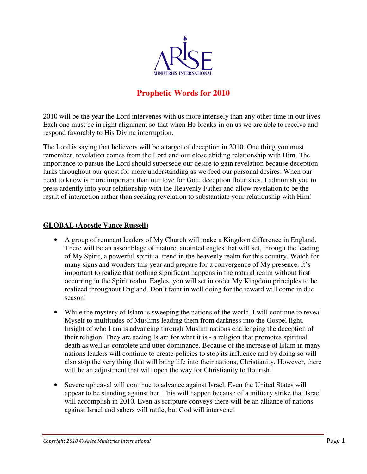

# **Prophetic Words for 2010**

2010 will be the year the Lord intervenes with us more intensely than any other time in our lives. Each one must be in right alignment so that when He breaks-in on us we are able to receive and respond favorably to His Divine interruption.

The Lord is saying that believers will be a target of deception in 2010. One thing you must remember, revelation comes from the Lord and our close abiding relationship with Him. The importance to pursue the Lord should supersede our desire to gain revelation because deception lurks throughout our quest for more understanding as we feed our personal desires. When our need to know is more important than our love for God, deception flourishes. I admonish you to press ardently into your relationship with the Heavenly Father and allow revelation to be the result of interaction rather than seeking revelation to substantiate your relationship with Him!

#### **GLOBAL (Apostle Vance Russell)**

- A group of remnant leaders of My Church will make a Kingdom difference in England. There will be an assemblage of mature, anointed eagles that will set, through the leading of My Spirit, a powerful spiritual trend in the heavenly realm for this country. Watch for many signs and wonders this year and prepare for a convergence of My presence. It's important to realize that nothing significant happens in the natural realm without first occurring in the Spirit realm. Eagles, you will set in order My Kingdom principles to be realized throughout England. Don't faint in well doing for the reward will come in due season!
- While the mystery of Islam is sweeping the nations of the world, I will continue to reveal Myself to multitudes of Muslims leading them from darkness into the Gospel light. Insight of who I am is advancing through Muslim nations challenging the deception of their religion. They are seeing Islam for what it is - a religion that promotes spiritual death as well as complete and utter dominance. Because of the increase of Islam in many nations leaders will continue to create policies to stop its influence and by doing so will also stop the very thing that will bring life into their nations, Christianity. However, there will be an adjustment that will open the way for Christianity to flourish!
- Severe upheaval will continue to advance against Israel. Even the United States will appear to be standing against her. This will happen because of a military strike that Israel will accomplish in 2010. Even as scripture conveys there will be an alliance of nations against Israel and sabers will rattle, but God will intervene!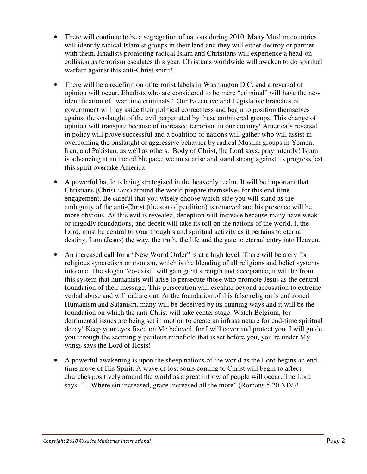- There will continue to be a segregation of nations during 2010. Many Muslim countries will identify radical Islamist groups in their land and they will either destroy or partner with them. Jihadists promoting radical Islam and Christians will experience a head-on collision as terrorism escalates this year. Christians worldwide will awaken to do spiritual warfare against this anti-Christ spirit!
- There will be a redefinition of terrorist labels in Washington D.C. and a reversal of opinion will occur. Jihadists who are considered to be mere "criminal" will have the new identification of "war time criminals." Our Executive and Legislative branches of government will lay aside their political correctness and begin to position themselves against the onslaught of the evil perpetrated by these embittered groups. This change of opinion will transpire because of increased terrorism in our country! America's reversal in policy will prove successful and a coalition of nations will gather who will assist in overcoming the onslaught of aggressive behavior by radical Muslim groups in Yemen, Iran, and Pakistan, as well as others. Body of Christ, the Lord says, pray intently! Islam is advancing at an incredible pace; we must arise and stand strong against its progress lest this spirit overtake America!
- A powerful battle is being strategized in the heavenly realm. It will be important that Christians (Christ-ians) around the world prepare themselves for this end-time engagement. Be careful that you wisely choose which side you will stand as the ambiguity of the anti-Christ (the son of perdition) is removed and his presence will be more obvious. As this evil is revealed, deception will increase because many have weak or ungodly foundations, and deceit will take its toll on the nations of the world. I, the Lord, must be central to your thoughts and spiritual activity as it pertains to eternal destiny. I am (Jesus) the way, the truth, the life and the gate to eternal entry into Heaven.
- An increased call for a "New World Order" is at a high level. There will be a cry for religious syncretism or monism, which is the blending of all religions and belief systems into one. The slogan "co-exist" will gain great strength and acceptance; it will be from this system that humanists will arise to persecute those who promote Jesus as the central foundation of their message. This persecution will escalate beyond accusation to extreme verbal abuse and will radiate out. At the foundation of this false religion is enthroned Humanism and Satanism, many will be deceived by its cunning ways and it will be the foundation on which the anti-Christ will take center stage. Watch Belgium, for detrimental issues are being set in motion to create an infrastructure for end-time spiritual decay! Keep your eyes fixed on Me beloved, for I will cover and protect you. I will guide you through the seemingly perilous minefield that is set before you, you're under My wings says the Lord of Hosts!
- A powerful awakening is upon the sheep nations of the world as the Lord begins an endtime move of His Spirit. A wave of lost souls coming to Christ will begin to affect churches positively around the world as a great inflow of people will occur. The Lord says, "...Where sin increased, grace increased all the more" (Romans 5:20 NIV)!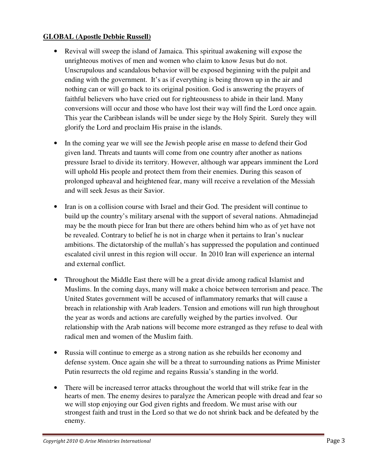#### **GLOBAL (Apostle Debbie Russell)**

- Revival will sweep the island of Jamaica. This spiritual awakening will expose the unrighteous motives of men and women who claim to know Jesus but do not. Unscrupulous and scandalous behavior will be exposed beginning with the pulpit and ending with the government. It's as if everything is being thrown up in the air and nothing can or will go back to its original position. God is answering the prayers of faithful believers who have cried out for righteousness to abide in their land. Many conversions will occur and those who have lost their way will find the Lord once again. This year the Caribbean islands will be under siege by the Holy Spirit. Surely they will glorify the Lord and proclaim His praise in the islands.
- In the coming year we will see the Jewish people arise en masse to defend their God given land. Threats and taunts will come from one country after another as nations pressure Israel to divide its territory. However, although war appears imminent the Lord will uphold His people and protect them from their enemies. During this season of prolonged upheaval and heightened fear, many will receive a revelation of the Messiah and will seek Jesus as their Savior.
- Iran is on a collision course with Israel and their God. The president will continue to build up the country's military arsenal with the support of several nations. Ahmadinejad may be the mouth piece for Iran but there are others behind him who as of yet have not be revealed. Contrary to belief he is not in charge when it pertains to Iran's nuclear ambitions. The dictatorship of the mullah's has suppressed the population and continued escalated civil unrest in this region will occur. In 2010 Iran will experience an internal and external conflict.
- Throughout the Middle East there will be a great divide among radical Islamist and Muslims. In the coming days, many will make a choice between terrorism and peace. The United States government will be accused of inflammatory remarks that will cause a breach in relationship with Arab leaders. Tension and emotions will run high throughout the year as words and actions are carefully weighed by the parties involved. Our relationship with the Arab nations will become more estranged as they refuse to deal with radical men and women of the Muslim faith.
- Russia will continue to emerge as a strong nation as she rebuilds her economy and defense system. Once again she will be a threat to surrounding nations as Prime Minister Putin resurrects the old regime and regains Russia's standing in the world.
- There will be increased terror attacks throughout the world that will strike fear in the hearts of men. The enemy desires to paralyze the American people with dread and fear so we will stop enjoying our God given rights and freedom. We must arise with our strongest faith and trust in the Lord so that we do not shrink back and be defeated by the enemy.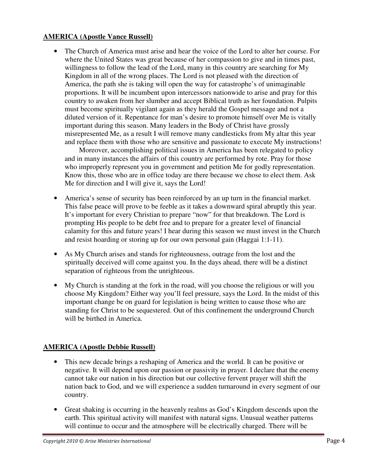#### **AMERICA (Apostle Vance Russell)**

• The Church of America must arise and hear the voice of the Lord to alter her course. For where the United States was great because of her compassion to give and in times past, willingness to follow the lead of the Lord, many in this country are searching for My Kingdom in all of the wrong places. The Lord is not pleased with the direction of America, the path she is taking will open the way for catastrophe's of unimaginable proportions. It will be incumbent upon intercessors nationwide to arise and pray for this country to awaken from her slumber and accept Biblical truth as her foundation. Pulpits must become spiritually vigilant again as they herald the Gospel message and not a diluted version of it. Repentance for man's desire to promote himself over Me is vitally important during this season. Many leaders in the Body of Christ have grossly misrepresented Me, as a result I will remove many candlesticks from My altar this year and replace them with those who are sensitive and passionate to execute My instructions!

 Moreover, accomplishing political issues in America has been relegated to policy and in many instances the affairs of this country are performed by rote. Pray for those who improperly represent you in government and petition Me for godly representation. Know this, those who are in office today are there because we chose to elect them. Ask Me for direction and I will give it, says the Lord!

- America's sense of security has been reinforced by an up turn in the financial market. This false peace will prove to be feeble as it takes a downward spiral abruptly this year. It's important for every Christian to prepare "now" for that breakdown. The Lord is prompting His people to be debt free and to prepare for a greater level of financial calamity for this and future years! I hear during this season we must invest in the Church and resist hoarding or storing up for our own personal gain (Haggai 1:1-11).
- As My Church arises and stands for righteousness, outrage from the lost and the spiritually deceived will come against you. In the days ahead, there will be a distinct separation of righteous from the unrighteous.
- My Church is standing at the fork in the road, will you choose the religious or will you choose My Kingdom? Either way you'll feel pressure, says the Lord. In the midst of this important change be on guard for legislation is being written to cause those who are standing for Christ to be sequestered. Out of this confinement the underground Church will be birthed in America.

# **AMERICA (Apostle Debbie Russell)**

- This new decade brings a reshaping of America and the world. It can be positive or negative. It will depend upon our passion or passivity in prayer. I declare that the enemy cannot take our nation in his direction but our collective fervent prayer will shift the nation back to God, and we will experience a sudden turnaround in every segment of our country.
- Great shaking is occurring in the heavenly realms as God's Kingdom descends upon the earth. This spiritual activity will manifest with natural signs. Unusual weather patterns will continue to occur and the atmosphere will be electrically charged. There will be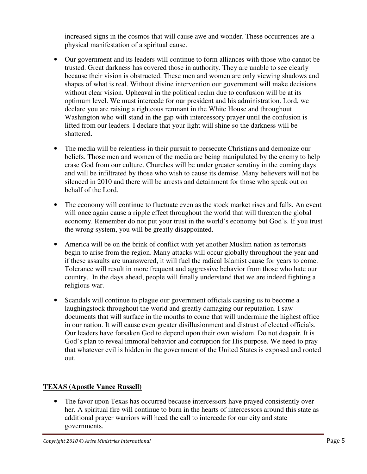increased signs in the cosmos that will cause awe and wonder. These occurrences are a physical manifestation of a spiritual cause.

- Our government and its leaders will continue to form alliances with those who cannot be trusted. Great darkness has covered those in authority. They are unable to see clearly because their vision is obstructed. These men and women are only viewing shadows and shapes of what is real. Without divine intervention our government will make decisions without clear vision. Upheaval in the political realm due to confusion will be at its optimum level. We must intercede for our president and his administration. Lord, we declare you are raising a righteous remnant in the White House and throughout Washington who will stand in the gap with intercessory prayer until the confusion is lifted from our leaders. I declare that your light will shine so the darkness will be shattered.
- The media will be relentless in their pursuit to persecute Christians and demonize our beliefs. Those men and women of the media are being manipulated by the enemy to help erase God from our culture. Churches will be under greater scrutiny in the coming days and will be infiltrated by those who wish to cause its demise. Many believers will not be silenced in 2010 and there will be arrests and detainment for those who speak out on behalf of the Lord.
- The economy will continue to fluctuate even as the stock market rises and falls. An event will once again cause a ripple effect throughout the world that will threaten the global economy. Remember do not put your trust in the world's economy but God's. If you trust the wrong system, you will be greatly disappointed.
- America will be on the brink of conflict with yet another Muslim nation as terrorists begin to arise from the region. Many attacks will occur globally throughout the year and if these assaults are unanswered, it will fuel the radical Islamist cause for years to come. Tolerance will result in more frequent and aggressive behavior from those who hate our country. In the days ahead, people will finally understand that we are indeed fighting a religious war.
- Scandals will continue to plague our government officials causing us to become a laughingstock throughout the world and greatly damaging our reputation. I saw documents that will surface in the months to come that will undermine the highest office in our nation. It will cause even greater disillusionment and distrust of elected officials. Our leaders have forsaken God to depend upon their own wisdom. Do not despair. It is God's plan to reveal immoral behavior and corruption for His purpose. We need to pray that whatever evil is hidden in the government of the United States is exposed and rooted out.

# **TEXAS (Apostle Vance Russell)**

• The favor upon Texas has occurred because intercessors have prayed consistently over her. A spiritual fire will continue to burn in the hearts of intercessors around this state as additional prayer warriors will heed the call to intercede for our city and state governments.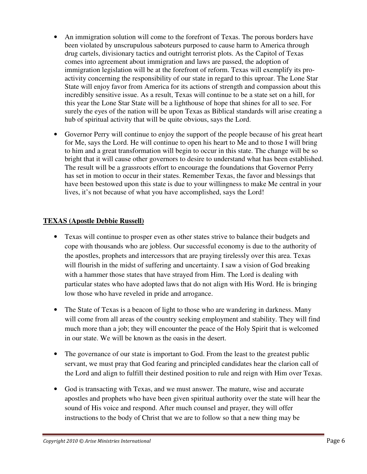- An immigration solution will come to the forefront of Texas. The porous borders have been violated by unscrupulous saboteurs purposed to cause harm to America through drug cartels, divisionary tactics and outright terrorist plots. As the Capitol of Texas comes into agreement about immigration and laws are passed, the adoption of immigration legislation will be at the forefront of reform. Texas will exemplify its proactivity concerning the responsibility of our state in regard to this uproar. The Lone Star State will enjoy favor from America for its actions of strength and compassion about this incredibly sensitive issue. As a result, Texas will continue to be a state set on a hill, for this year the Lone Star State will be a lighthouse of hope that shines for all to see. For surely the eyes of the nation will be upon Texas as Biblical standards will arise creating a hub of spiritual activity that will be quite obvious, says the Lord.
- Governor Perry will continue to enjoy the support of the people because of his great heart for Me, says the Lord. He will continue to open his heart to Me and to those I will bring to him and a great transformation will begin to occur in this state. The change will be so bright that it will cause other governors to desire to understand what has been established. The result will be a grassroots effort to encourage the foundations that Governor Perry has set in motion to occur in their states. Remember Texas, the favor and blessings that have been bestowed upon this state is due to your willingness to make Me central in your lives, it's not because of what you have accomplished, says the Lord!

#### **TEXAS (Apostle Debbie Russell)**

- Texas will continue to prosper even as other states strive to balance their budgets and cope with thousands who are jobless. Our successful economy is due to the authority of the apostles, prophets and intercessors that are praying tirelessly over this area. Texas will flourish in the midst of suffering and uncertainty. I saw a vision of God breaking with a hammer those states that have strayed from Him. The Lord is dealing with particular states who have adopted laws that do not align with His Word. He is bringing low those who have reveled in pride and arrogance.
- The State of Texas is a beacon of light to those who are wandering in darkness. Many will come from all areas of the country seeking employment and stability. They will find much more than a job; they will encounter the peace of the Holy Spirit that is welcomed in our state. We will be known as the oasis in the desert.
- The governance of our state is important to God. From the least to the greatest public servant, we must pray that God fearing and principled candidates hear the clarion call of the Lord and align to fulfill their destined position to rule and reign with Him over Texas.
- God is transacting with Texas, and we must answer. The mature, wise and accurate apostles and prophets who have been given spiritual authority over the state will hear the sound of His voice and respond. After much counsel and prayer, they will offer instructions to the body of Christ that we are to follow so that a new thing may be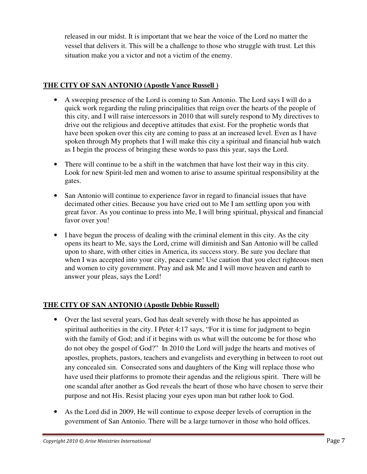released in our midst. It is important that we hear the voice of the Lord no matter the vessel that delivers it. This will be a challenge to those who struggle with trust. Let this situation make you a victor and not a victim of the enemy.

### **THE CITY OF SAN ANTONIO (Apostle Vance Russell )**

- A sweeping presence of the Lord is coming to San Antonio. The Lord says I will do a quick work regarding the ruling principalities that reign over the hearts of the people of this city, and I will raise intercessors in 2010 that will surely respond to My directives to drive out the religious and deceptive attitudes that exist. For the prophetic words that have been spoken over this city are coming to pass at an increased level. Even as I have spoken through My prophets that I will make this city a spiritual and financial hub watch as I begin the process of bringing these words to pass this year, says the Lord.
- There will continue to be a shift in the watchmen that have lost their way in this city. Look for new Spirit-led men and women to arise to assume spiritual responsibility at the gates.
- San Antonio will continue to experience favor in regard to financial issues that have decimated other cities. Because you have cried out to Me I am settling upon you with great favor. As you continue to press into Me, I will bring spiritual, physical and financial favor over you!
- I have begun the process of dealing with the criminal element in this city. As the city opens its heart to Me, says the Lord, crime will diminish and San Antonio will be called upon to share, with other cities in America, its success story. Be sure you declare that when I was accepted into your city, peace came! Use caution that you elect righteous men and women to city government. Pray and ask Me and I will move heaven and earth to answer your pleas, says the Lord!

# **THE CITY OF SAN ANTONIO (Apostle Debbie Russell)**

- Over the last several years, God has dealt severely with those he has appointed as spiritual authorities in the city. I Peter 4:17 says, "For it is time for judgment to begin with the family of God; and if it begins with us what will the outcome be for those who do not obey the gospel of God?" In 2010 the Lord will judge the hearts and motives of apostles, prophets, pastors, teachers and evangelists and everything in between to root out any concealed sin. Consecrated sons and daughters of the King will replace those who have used their platforms to promote their agendas and the religious spirit. There will be one scandal after another as God reveals the heart of those who have chosen to serve their purpose and not His. Resist placing your eyes upon man but rather look to God.
- As the Lord did in 2009, He will continue to expose deeper levels of corruption in the government of San Antonio. There will be a large turnover in those who hold offices.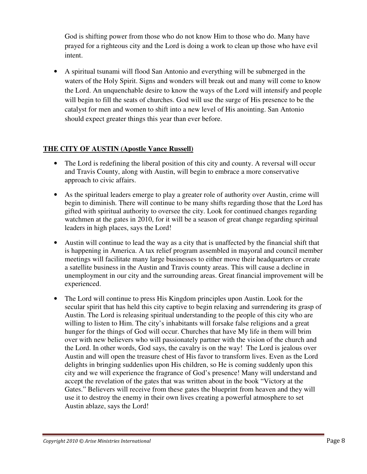God is shifting power from those who do not know Him to those who do. Many have prayed for a righteous city and the Lord is doing a work to clean up those who have evil intent.

• A spiritual tsunami will flood San Antonio and everything will be submerged in the waters of the Holy Spirit. Signs and wonders will break out and many will come to know the Lord. An unquenchable desire to know the ways of the Lord will intensify and people will begin to fill the seats of churches. God will use the surge of His presence to be the catalyst for men and women to shift into a new level of His anointing. San Antonio should expect greater things this year than ever before.

### **THE CITY OF AUSTIN (Apostle Vance Russell)**

- The Lord is redefining the liberal position of this city and county. A reversal will occur and Travis County, along with Austin, will begin to embrace a more conservative approach to civic affairs.
- As the spiritual leaders emerge to play a greater role of authority over Austin, crime will begin to diminish. There will continue to be many shifts regarding those that the Lord has gifted with spiritual authority to oversee the city. Look for continued changes regarding watchmen at the gates in 2010, for it will be a season of great change regarding spiritual leaders in high places, says the Lord!
- Austin will continue to lead the way as a city that is unaffected by the financial shift that is happening in America. A tax relief program assembled in mayoral and council member meetings will facilitate many large businesses to either move their headquarters or create a satellite business in the Austin and Travis county areas. This will cause a decline in unemployment in our city and the surrounding areas. Great financial improvement will be experienced.
- The Lord will continue to press His Kingdom principles upon Austin. Look for the secular spirit that has held this city captive to begin relaxing and surrendering its grasp of Austin. The Lord is releasing spiritual understanding to the people of this city who are willing to listen to Him. The city's inhabitants will forsake false religions and a great hunger for the things of God will occur. Churches that have My life in them will brim over with new believers who will passionately partner with the vision of the church and the Lord. In other words, God says, the cavalry is on the way! The Lord is jealous over Austin and will open the treasure chest of His favor to transform lives. Even as the Lord delights in bringing suddenlies upon His children, so He is coming suddenly upon this city and we will experience the fragrance of God's presence! Many will understand and accept the revelation of the gates that was written about in the book "Victory at the Gates." Believers will receive from these gates the blueprint from heaven and they will use it to destroy the enemy in their own lives creating a powerful atmosphere to set Austin ablaze, says the Lord!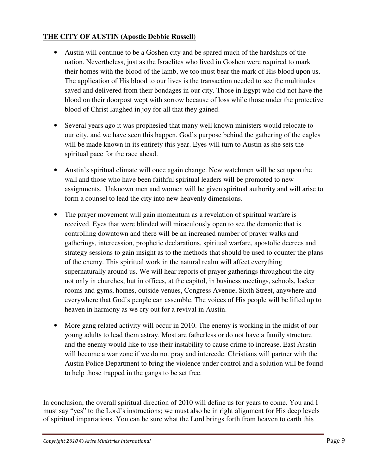#### **THE CITY OF AUSTIN (Apostle Debbie Russell)**

- Austin will continue to be a Goshen city and be spared much of the hardships of the nation. Nevertheless, just as the Israelites who lived in Goshen were required to mark their homes with the blood of the lamb, we too must bear the mark of His blood upon us. The application of His blood to our lives is the transaction needed to see the multitudes saved and delivered from their bondages in our city. Those in Egypt who did not have the blood on their doorpost wept with sorrow because of loss while those under the protective blood of Christ laughed in joy for all that they gained.
- Several years ago it was prophesied that many well known ministers would relocate to our city, and we have seen this happen. God's purpose behind the gathering of the eagles will be made known in its entirety this year. Eyes will turn to Austin as she sets the spiritual pace for the race ahead.
- Austin's spiritual climate will once again change. New watchmen will be set upon the wall and those who have been faithful spiritual leaders will be promoted to new assignments. Unknown men and women will be given spiritual authority and will arise to form a counsel to lead the city into new heavenly dimensions.
- The prayer movement will gain momentum as a revelation of spiritual warfare is received. Eyes that were blinded will miraculously open to see the demonic that is controlling downtown and there will be an increased number of prayer walks and gatherings, intercession, prophetic declarations, spiritual warfare, apostolic decrees and strategy sessions to gain insight as to the methods that should be used to counter the plans of the enemy. This spiritual work in the natural realm will affect everything supernaturally around us. We will hear reports of prayer gatherings throughout the city not only in churches, but in offices, at the capitol, in business meetings, schools, locker rooms and gyms, homes, outside venues, Congress Avenue, Sixth Street, anywhere and everywhere that God's people can assemble. The voices of His people will be lifted up to heaven in harmony as we cry out for a revival in Austin.
- More gang related activity will occur in 2010. The enemy is working in the midst of our young adults to lead them astray. Most are fatherless or do not have a family structure and the enemy would like to use their instability to cause crime to increase. East Austin will become a war zone if we do not pray and intercede. Christians will partner with the Austin Police Department to bring the violence under control and a solution will be found to help those trapped in the gangs to be set free.

In conclusion, the overall spiritual direction of 2010 will define us for years to come. You and I must say "yes" to the Lord's instructions; we must also be in right alignment for His deep levels of spiritual impartations. You can be sure what the Lord brings forth from heaven to earth this